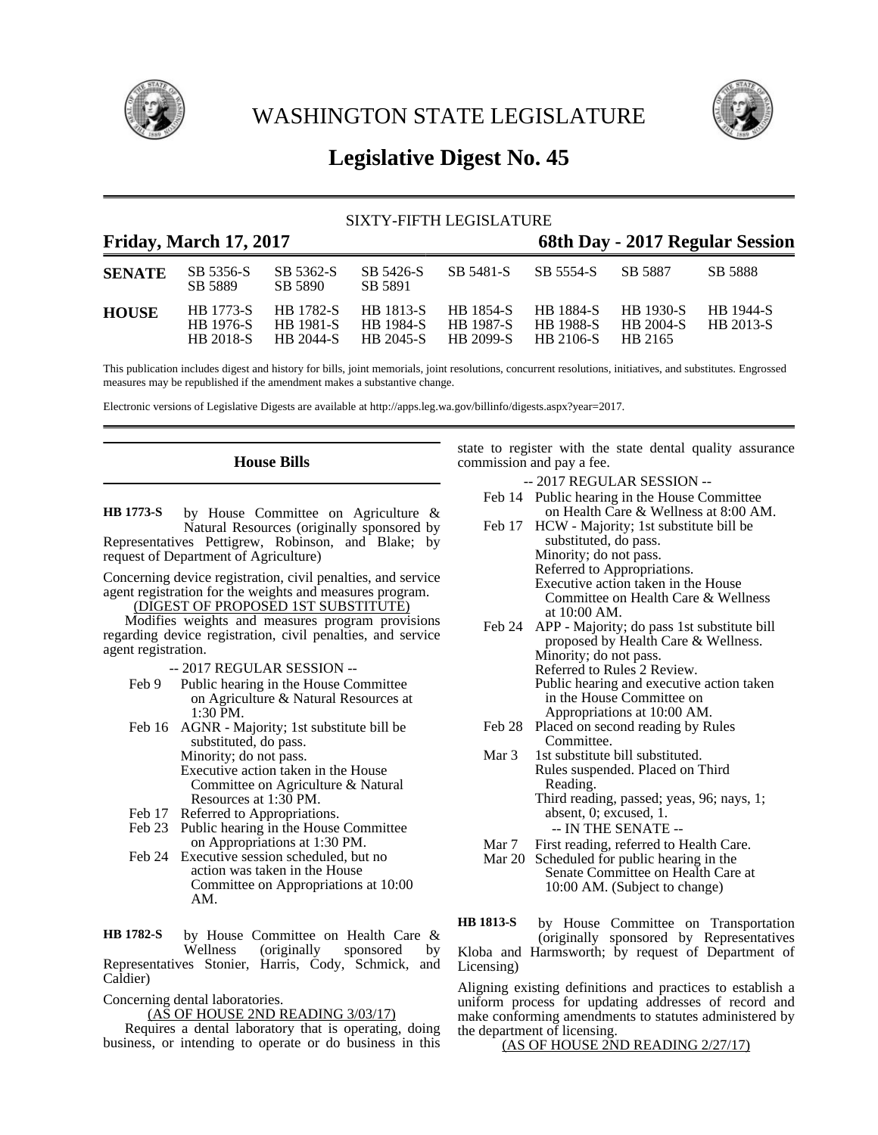

WASHINGTON STATE LEGISLATURE



# **Legislative Digest No. 45**

## SIXTY-FIFTH LEGISLATURE

## **Friday, March 17, 2017 68th Day - 2017 Regular Session**

| <b>SENATE</b> | SB 5356-S<br>SB 5889                              | SB 5362-S<br>SB 5890 | SB 5426-S<br>SB 5891 | SB 5481-S                                                                                              | SB 5554-S SB 5887 |                                                 | <b>SB 5888</b>   |
|---------------|---------------------------------------------------|----------------------|----------------------|--------------------------------------------------------------------------------------------------------|-------------------|-------------------------------------------------|------------------|
| <b>HOUSE</b>  | HB 1773-S<br><b>HR</b> 1976-S<br><b>HR 2018-S</b> | HB 1981-S HB 1984-S  |                      | HB 1782-S HB 1813-S HB 1854-S HB 1884-S<br><b>HB</b> 1987-S<br>HB 2044-S HB 2045-S HB 2099-S HB 2106-S | <b>HB</b> 1988-S  | HB 1930-S<br>$HB 2004-S$ $HB 2013-S$<br>HB 2165 | <b>HB</b> 1944-S |

This publication includes digest and history for bills, joint memorials, joint resolutions, concurrent resolutions, initiatives, and substitutes. Engrossed measures may be republished if the amendment makes a substantive change.

Electronic versions of Legislative Digests are available at http://apps.leg.wa.gov/billinfo/digests.aspx?year=2017.

## **House Bills**

by House Committee on Agriculture & Natural Resources (originally sponsored by Representatives Pettigrew, Robinson, and Blake; by request of Department of Agriculture) **HB 1773-S**

Concerning device registration, civil penalties, and service agent registration for the weights and measures program.

(DIGEST OF PROPOSED 1ST SUBSTITUTE)

Modifies weights and measures program provisions regarding device registration, civil penalties, and service agent registration.

-- 2017 REGULAR SESSION --

- Feb 9 Public hearing in the House Committee on Agriculture & Natural Resources at 1:30 PM.
- Feb 16 AGNR Majority; 1st substitute bill be substituted, do pass. Minority; do not pass. Executive action taken in the House Committee on Agriculture & Natural Resources at 1:30 PM.
- Feb 17 Referred to Appropriations.
- Feb 23 Public hearing in the House Committee on Appropriations at 1:30 PM.
- Feb 24 Executive session scheduled, but no action was taken in the House Committee on Appropriations at 10:00 AM.

by House Committee on Health Care & Wellness (originally sponsored by Representatives Stonier, Harris, Cody, Schmick, and Caldier) **HB 1782-S**

Concerning dental laboratories.

(AS OF HOUSE 2ND READING 3/03/17)

Requires a dental laboratory that is operating, doing business, or intending to operate or do business in this state to register with the state dental quality assurance commission and pay a fee.

-- 2017 REGULAR SESSION --

- Feb 14 Public hearing in the House Committee on Health Care & Wellness at 8:00 AM.
- Feb 17 HCW Majority; 1st substitute bill be substituted, do pass. Minority; do not pass. Referred to Appropriations. Executive action taken in the House Committee on Health Care & Wellness at 10:00 AM.
- Feb 24 APP Majority; do pass 1st substitute bill proposed by Health Care & Wellness. Minority; do not pass. Referred to Rules 2 Review. Public hearing and executive action taken in the House Committee on
- Appropriations at 10:00 AM. Feb 28 Placed on second reading by Rules Committee.
- Mar 3 1st substitute bill substituted. Rules suspended. Placed on Third Reading. Third reading, passed; yeas, 96; nays, 1; absent, 0; excused, 1. -- IN THE SENATE --
- Mar 7 First reading, referred to Health Care.
- Mar 20 Scheduled for public hearing in the Senate Committee on Health Care at 10:00 AM. (Subject to change)

by House Committee on Transportation (originally sponsored by Representatives Kloba and Harmsworth; by request of Department of Licensing) **HB 1813-S**

Aligning existing definitions and practices to establish a uniform process for updating addresses of record and make conforming amendments to statutes administered by the department of licensing.

(AS OF HOUSE 2ND READING 2/27/17)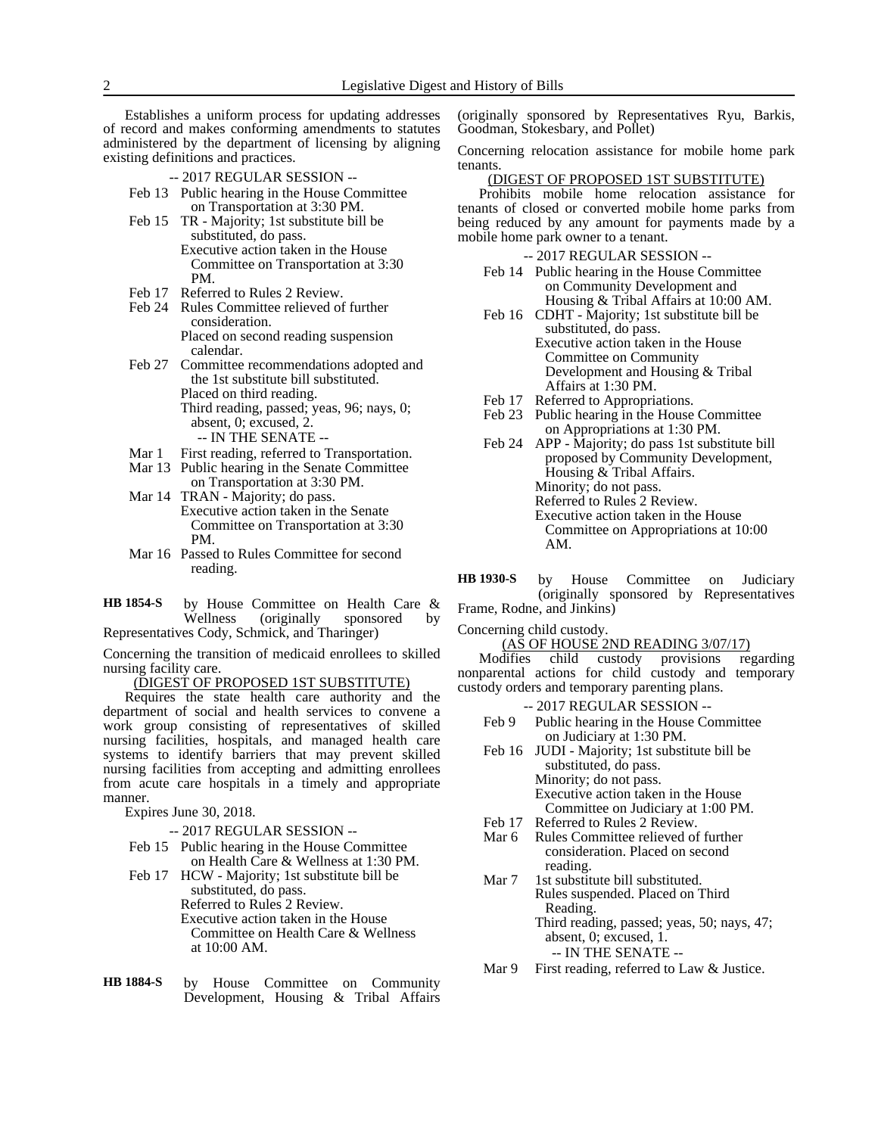Establishes a uniform process for updating addresses of record and makes conforming amendments to statutes administered by the department of licensing by aligning existing definitions and practices.

- -- 2017 REGULAR SESSION --
- Feb 13 Public hearing in the House Committee on Transportation at 3:30 PM.
- Feb 15 TR Majority; 1st substitute bill be substituted, do pass. Executive action taken in the House Committee on Transportation at 3:30 PM.
- Feb 17 Referred to Rules 2 Review.
- Feb 24 Rules Committee relieved of further consideration. Placed on second reading suspension calendar.
- Feb 27 Committee recommendations adopted and the 1st substitute bill substituted. Placed on third reading. Third reading, passed; yeas, 96; nays, 0; absent, 0; excused, 2.
	- -- IN THE SENATE --
- Mar 1 First reading, referred to Transportation.
- Mar 13 Public hearing in the Senate Committee
- on Transportation at 3:30 PM. Mar 14 TRAN - Majority; do pass.
- Executive action taken in the Senate Committee on Transportation at 3:30 PM.
- Mar 16 Passed to Rules Committee for second reading.
- by House Committee on Health Care & Wellness (originally sponsored by Representatives Cody, Schmick, and Tharinger) **HB 1854-S**

Concerning the transition of medicaid enrollees to skilled nursing facility care.

(DIGEST OF PROPOSED 1ST SUBSTITUTE)

Requires the state health care authority and the department of social and health services to convene a work group consisting of representatives of skilled nursing facilities, hospitals, and managed health care systems to identify barriers that may prevent skilled nursing facilities from accepting and admitting enrollees from acute care hospitals in a timely and appropriate manner.

Expires June 30, 2018.

## -- 2017 REGULAR SESSION --

- Feb 15 Public hearing in the House Committee on Health Care & Wellness at 1:30 PM.
- Feb 17 HCW Majority; 1st substitute bill be substituted, do pass. Referred to Rules 2 Review. Executive action taken in the House Committee on Health Care & Wellness at 10:00 AM.
- by House Committee on Community Development, Housing & Tribal Affairs **HB 1884-S**

(originally sponsored by Representatives Ryu, Barkis, Goodman, Stokesbary, and Pollet)

Concerning relocation assistance for mobile home park tenants.

## (DIGEST OF PROPOSED 1ST SUBSTITUTE)

Prohibits mobile home relocation assistance for tenants of closed or converted mobile home parks from being reduced by any amount for payments made by a mobile home park owner to a tenant.

- -- 2017 REGULAR SESSION --
- Feb 14 Public hearing in the House Committee on Community Development and Housing & Tribal Affairs at 10:00 AM.
- Feb 16 CDHT Majority; 1st substitute bill be substituted, do pass. Executive action taken in the House Committee on Community Development and Housing & Tribal Affairs at 1:30 PM.
- Feb 17 Referred to Appropriations.
- Feb 23 Public hearing in the House Committee on Appropriations at 1:30 PM.
- Feb 24 APP Majority; do pass 1st substitute bill proposed by Community Development, Housing & Tribal Affairs. Minority; do not pass. Referred to Rules 2 Review.
	- Executive action taken in the House
	- Committee on Appropriations at 10:00 AM.
- by House Committee on Judiciary (originally sponsored by Representatives Frame, Rodne, and Jinkins) **HB 1930-S**
- Concerning child custody.

 $(A\overline{S}$  OF HOUSE 2ND READING 3/07/17)<br>difies child custody provisions regarding Modifies child custody provisions regarding nonparental actions for child custody and temporary custody orders and temporary parenting plans.

- -- 2017 REGULAR SESSION -- Feb 9 Public hearing in the House Committee on Judiciary at 1:30 PM. Feb 16 JUDI - Majority; 1st substitute bill be substituted, do pass. Minority; do not pass. Executive action taken in the House Committee on Judiciary at 1:00 PM. Feb 17 Referred to Rules 2 Review.
- Mar 6 Rules Committee relieved of further consideration. Placed on second reading.
- Mar 7 1st substitute bill substituted. Rules suspended. Placed on Third Reading. Third reading, passed; yeas, 50; nays, 47; absent, 0; excused, 1.

-- IN THE SENATE --

Mar 9 First reading, referred to Law & Justice.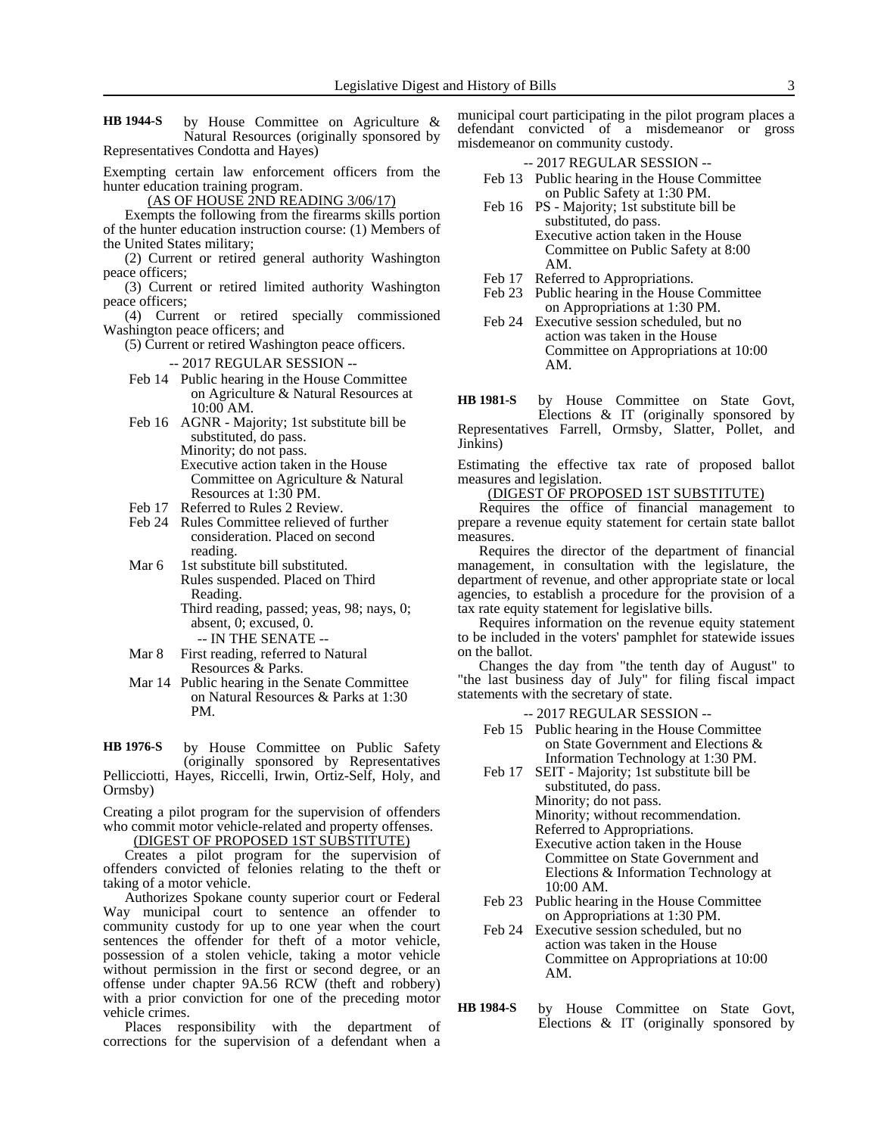by House Committee on Agriculture & Natural Resources (originally sponsored by Representatives Condotta and Hayes) **HB 1944-S**

Exempting certain law enforcement officers from the hunter education training program.

(AS OF HOUSE 2ND READING 3/06/17)

Exempts the following from the firearms skills portion of the hunter education instruction course: (1) Members of the United States military;

(2) Current or retired general authority Washington peace officers;

(3) Current or retired limited authority Washington peace officers;

(4) Current or retired specially commissioned Washington peace officers; and

(5) Current or retired Washington peace officers.

-- 2017 REGULAR SESSION --

Feb 14 Public hearing in the House Committee on Agriculture & Natural Resources at 10:00 AM.

- Feb 16 AGNR Majority; 1st substitute bill be substituted, do pass. Minority; do not pass. Executive action taken in the House Committee on Agriculture & Natural Resources at 1:30 PM.
- Feb 17 Referred to Rules 2 Review.
- Feb 24 Rules Committee relieved of further consideration. Placed on second reading.

Mar 6 1st substitute bill substituted. Rules suspended. Placed on Third Reading. Third reading, passed; yeas, 98; nays, 0;

absent, 0; excused, 0. -- IN THE SENATE --

- Mar 8 First reading, referred to Natural Resources & Parks.
- Mar 14 Public hearing in the Senate Committee on Natural Resources & Parks at 1:30 PM.

by House Committee on Public Safety (originally sponsored by Representatives Pellicciotti, Hayes, Riccelli, Irwin, Ortiz-Self, Holy, and Ormsby) **HB 1976-S**

Creating a pilot program for the supervision of offenders who commit motor vehicle-related and property offenses.

(DIGEST OF PROPOSED 1ST SUBSTITUTE)

Creates a pilot program for the supervision of offenders convicted of felonies relating to the theft or taking of a motor vehicle.

Authorizes Spokane county superior court or Federal Way municipal court to sentence an offender to community custody for up to one year when the court sentences the offender for theft of a motor vehicle, possession of a stolen vehicle, taking a motor vehicle without permission in the first or second degree, or an offense under chapter 9A.56 RCW (theft and robbery) with a prior conviction for one of the preceding motor vehicle crimes.

Places responsibility with the department of corrections for the supervision of a defendant when a municipal court participating in the pilot program places a defendant convicted of a misdemeanor or gross misdemeanor on community custody.

-- 2017 REGULAR SESSION --

- Feb 13 Public hearing in the House Committee on Public Safety at 1:30 PM.
- Feb 16 PS Majority; 1st substitute bill be substituted, do pass. Executive action taken in the House Committee on Public Safety at 8:00
- AM. Feb 17 Referred to Appropriations.
- Feb 23 Public hearing in the House Committee on Appropriations at 1:30 PM.
- Feb 24 Executive session scheduled, but no action was taken in the House Committee on Appropriations at 10:00 AM.

by House Committee on State Govt, Elections & IT (originally sponsored by Representatives Farrell, Ormsby, Slatter, Pollet, and Jinkins) **HB 1981-S**

Estimating the effective tax rate of proposed ballot measures and legislation.

(DIGEST OF PROPOSED 1ST SUBSTITUTE)

Requires the office of financial management to prepare a revenue equity statement for certain state ballot measures.

Requires the director of the department of financial management, in consultation with the legislature, the department of revenue, and other appropriate state or local agencies, to establish a procedure for the provision of a tax rate equity statement for legislative bills.

Requires information on the revenue equity statement to be included in the voters' pamphlet for statewide issues on the ballot.

Changes the day from "the tenth day of August" to "the last business day of July" for filing fiscal impact statements with the secretary of state.

-- 2017 REGULAR SESSION --

- Feb 15 Public hearing in the House Committee on State Government and Elections & Information Technology at 1:30 PM.
- Feb 17 SEIT Majority; 1st substitute bill be substituted, do pass.

Minority; do not pass.

Minority; without recommendation.

Referred to Appropriations. Executive action taken in the House Committee on State Government and Elections & Information Technology at 10:00 AM.

- Feb 23 Public hearing in the House Committee on Appropriations at 1:30 PM.
- Feb 24 Executive session scheduled, but no action was taken in the House Committee on Appropriations at 10:00 AM.
- by House Committee on State Govt, Elections & IT (originally sponsored by **HB 1984-S**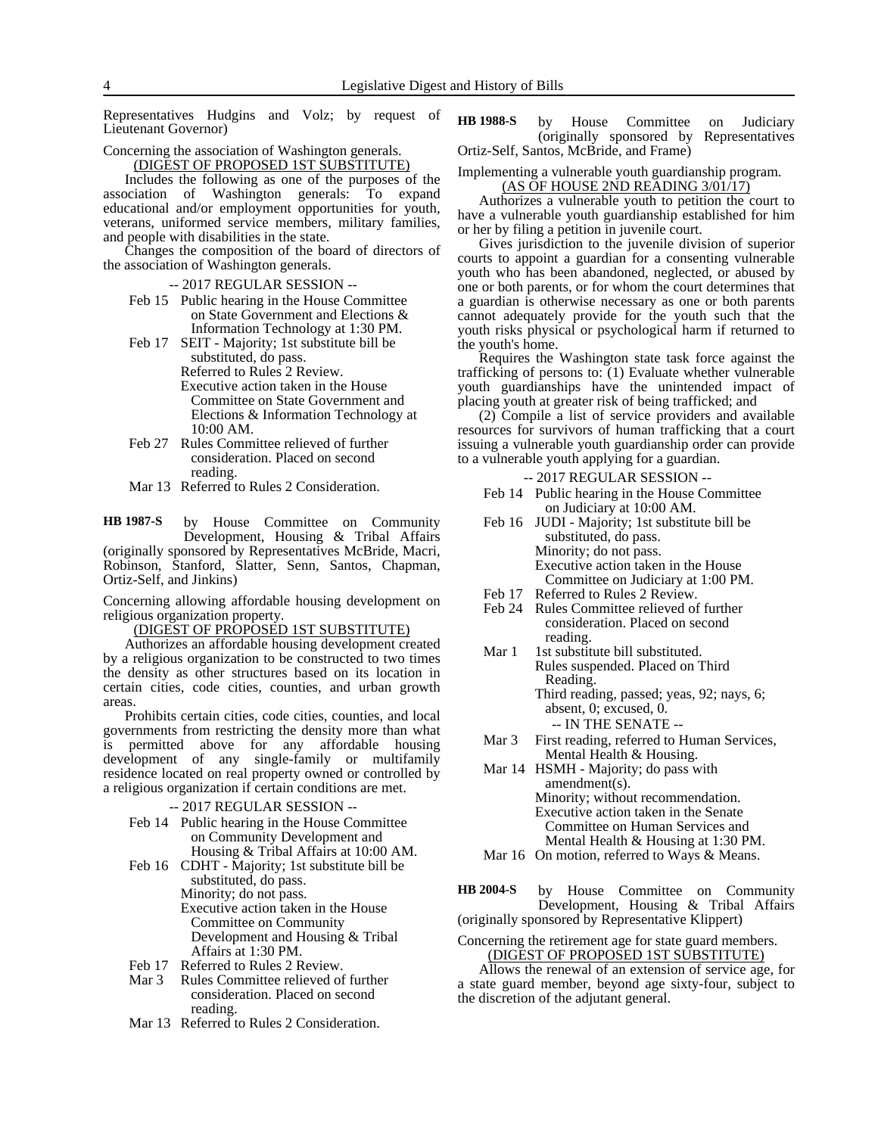Representatives Hudgins and Volz; by request of Lieutenant Governor)

Concerning the association of Washington generals.

(DIGEST OF PROPOSED 1ST SUBSTITUTE) Includes the following as one of the purposes of the association of Washington generals: To expand educational and/or employment opportunities for youth,

veterans, uniformed service members, military families, and people with disabilities in the state.

Changes the composition of the board of directors of the association of Washington generals.

-- 2017 REGULAR SESSION --

- Feb 15 Public hearing in the House Committee on State Government and Elections & Information Technology at 1:30 PM.
- Feb 17 SEIT Majority; 1st substitute bill be substituted, do pass. Referred to Rules 2 Review. Executive action taken in the House Committee on State Government and Elections & Information Technology at 10:00 AM.
- Feb 27 Rules Committee relieved of further consideration. Placed on second reading.
- Mar 13 Referred to Rules 2 Consideration.

by House Committee on Community Development, Housing & Tribal Affairs (originally sponsored by Representatives McBride, Macri, Robinson, Stanford, Slatter, Senn, Santos, Chapman, Ortiz-Self, and Jinkins) **HB 1987-S**

Concerning allowing affordable housing development on religious organization property.

(DIGEST OF PROPOSED 1ST SUBSTITUTE)

Authorizes an affordable housing development created by a religious organization to be constructed to two times the density as other structures based on its location in certain cities, code cities, counties, and urban growth areas.

Prohibits certain cities, code cities, counties, and local governments from restricting the density more than what is permitted above for any affordable housing development of any single-family or multifamily residence located on real property owned or controlled by a religious organization if certain conditions are met.

### -- 2017 REGULAR SESSION --

- Feb 14 Public hearing in the House Committee on Community Development and
- Housing & Tribal Affairs at 10:00 AM. Feb 16 CDHT - Majority; 1st substitute bill be substituted, do pass.
	- Minority; do not pass. Executive action taken in the House Committee on Community Development and Housing & Tribal Affairs at 1:30 PM.
- Feb 17 Referred to Rules 2 Review.
- Mar 3 Rules Committee relieved of further consideration. Placed on second reading.
- Mar 13 Referred to Rules 2 Consideration.

by House Committee on Judiciary (originally sponsored by Representatives Ortiz-Self, Santos, McBride, and Frame) **HB 1988-S**

Implementing a vulnerable youth guardianship program. (AS OF HOUSE 2ND READING 3/01/17)

Authorizes a vulnerable youth to petition the court to have a vulnerable youth guardianship established for him or her by filing a petition in juvenile court.

Gives jurisdiction to the juvenile division of superior courts to appoint a guardian for a consenting vulnerable youth who has been abandoned, neglected, or abused by one or both parents, or for whom the court determines that a guardian is otherwise necessary as one or both parents cannot adequately provide for the youth such that the youth risks physical or psychological harm if returned to the youth's home.

Requires the Washington state task force against the trafficking of persons to: (1) Evaluate whether vulnerable youth guardianships have the unintended impact of placing youth at greater risk of being trafficked; and

(2) Compile a list of service providers and available resources for survivors of human trafficking that a court issuing a vulnerable youth guardianship order can provide to a vulnerable youth applying for a guardian.

-- 2017 REGULAR SESSION --

- Feb 14 Public hearing in the House Committee on Judiciary at 10:00 AM.
- Feb 16 JUDI Majority; 1st substitute bill be substituted, do pass. Minority; do not pass. Executive action taken in the House Committee on Judiciary at 1:00 PM.
- Feb 17 Referred to Rules 2 Review.
- Feb 24 Rules Committee relieved of further consideration. Placed on second reading.
- Mar 1 1st substitute bill substituted. Rules suspended. Placed on Third Reading. Third reading, passed; yeas, 92; nays, 6; absent, 0; excused, 0. -- IN THE SENATE --
- Mar 3 First reading, referred to Human Services, Mental Health & Housing.
- Mar 14 HSMH Majority; do pass with amendment(s). Minority; without recommendation. Executive action taken in the Senate Committee on Human Services and Mental Health & Housing at 1:30 PM.
- Mar 16 On motion, referred to Ways & Means.
- by House Committee on Community Development, Housing & Tribal Affairs (originally sponsored by Representative Klippert) **HB 2004-S**

Concerning the retirement age for state guard members. (DIGEST OF PROPOSED 1ST SUBSTITUTE)

Allows the renewal of an extension of service age, for a state guard member, beyond age sixty-four, subject to the discretion of the adjutant general.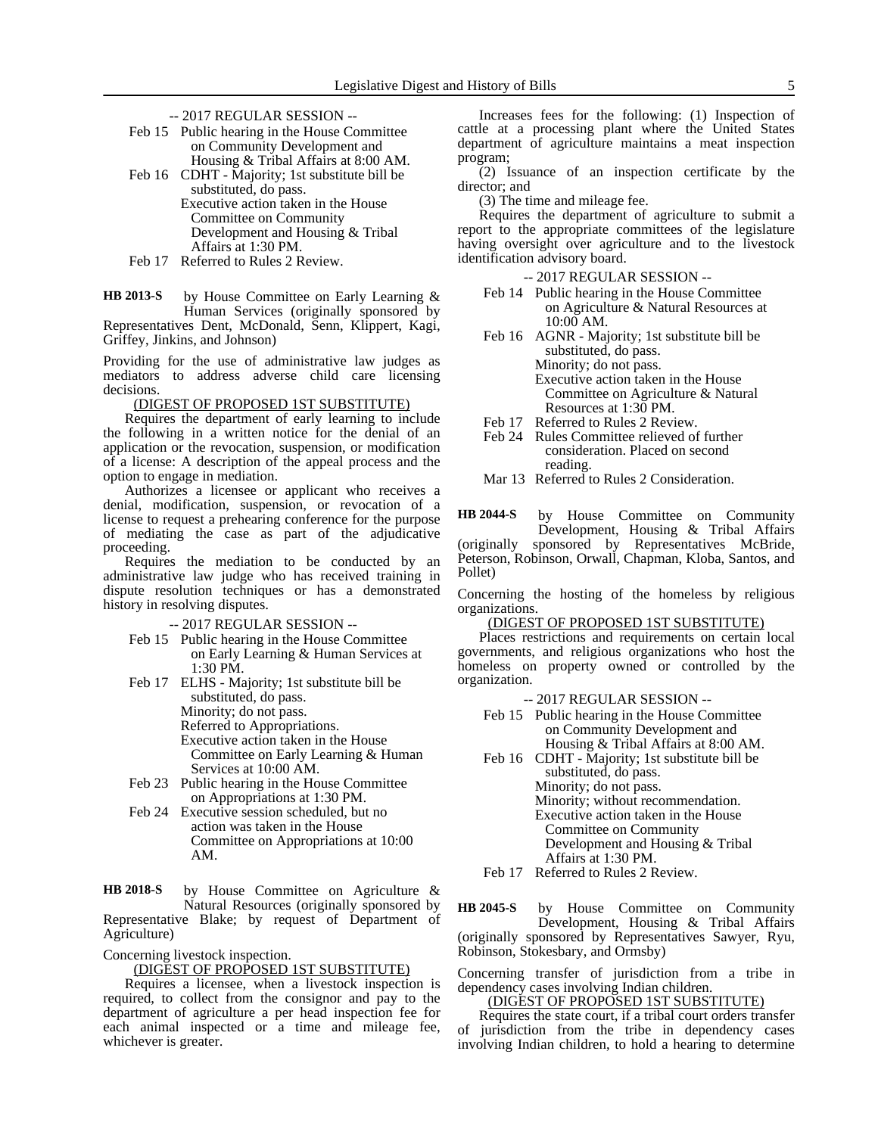- -- 2017 REGULAR SESSION --
- Feb 15 Public hearing in the House Committee on Community Development and Housing & Tribal Affairs at 8:00 AM.
- Feb 16 CDHT Majority; 1st substitute bill be substituted, do pass. Executive action taken in the House Committee on Community Development and Housing & Tribal Affairs at 1:30 PM.
- Feb 17 Referred to Rules 2 Review.

by House Committee on Early Learning & Human Services (originally sponsored by Representatives Dent, McDonald, Senn, Klippert, Kagi, Griffey, Jinkins, and Johnson) **HB 2013-S**

Providing for the use of administrative law judges as mediators to address adverse child care licensing decisions.

(DIGEST OF PROPOSED 1ST SUBSTITUTE)

Requires the department of early learning to include the following in a written notice for the denial of an application or the revocation, suspension, or modification of a license: A description of the appeal process and the option to engage in mediation.

Authorizes a licensee or applicant who receives a denial, modification, suspension, or revocation of a license to request a prehearing conference for the purpose of mediating the case as part of the adjudicative proceeding.

Requires the mediation to be conducted by an administrative law judge who has received training in dispute resolution techniques or has a demonstrated history in resolving disputes.

-- 2017 REGULAR SESSION --

- Feb 15 Public hearing in the House Committee on Early Learning & Human Services at 1:30 PM.
- Feb 17 ELHS Majority; 1st substitute bill be substituted, do pass. Minority; do not pass. Referred to Appropriations. Executive action taken in the House Committee on Early Learning & Human Services at 10:00 AM.
- Feb 23 Public hearing in the House Committee on Appropriations at 1:30 PM.
- Feb 24 Executive session scheduled, but no action was taken in the House Committee on Appropriations at 10:00 AM.

by House Committee on Agriculture & Natural Resources (originally sponsored by Representative Blake; by request of Department of Agriculture) **HB 2018-S**

Concerning livestock inspection.

(DIGEST OF PROPOSED 1ST SUBSTITUTE)

Requires a licensee, when a livestock inspection is required, to collect from the consignor and pay to the department of agriculture a per head inspection fee for each animal inspected or a time and mileage fee, whichever is greater.

Increases fees for the following: (1) Inspection of cattle at a processing plant where the United States department of agriculture maintains a meat inspection program;

(2) Issuance of an inspection certificate by the director; and

(3) The time and mileage fee.

Requires the department of agriculture to submit a report to the appropriate committees of the legislature having oversight over agriculture and to the livestock identification advisory board.

-- 2017 REGULAR SESSION --

- Feb 14 Public hearing in the House Committee on Agriculture & Natural Resources at 10:00 AM.
- Feb 16 AGNR Majority; 1st substitute bill be substituted, do pass. Minority; do not pass. Executive action taken in the House
	- Committee on Agriculture & Natural Resources at 1:30 PM.
- Feb 17 Referred to Rules 2 Review.
- Feb 24 Rules Committee relieved of further consideration. Placed on second reading.

Mar 13 Referred to Rules 2 Consideration.

by House Committee on Community Development, Housing & Tribal Affairs (originally sponsored by Representatives McBride, Peterson, Robinson, Orwall, Chapman, Kloba, Santos, and **HB 2044-S**

Pollet)

Concerning the hosting of the homeless by religious organizations.

(DIGEST OF PROPOSED 1ST SUBSTITUTE)

Places restrictions and requirements on certain local governments, and religious organizations who host the homeless on property owned or controlled by the organization.

- -- 2017 REGULAR SESSION --
- Feb 15 Public hearing in the House Committee on Community Development and Housing & Tribal Affairs at 8:00 AM.
- Feb 16 CDHT Majority; 1st substitute bill be substituted, do pass. Minority; do not pass. Minority; without recommendation. Executive action taken in the House Committee on Community Development and Housing & Tribal Affairs at 1:30 PM.
- Feb 17 Referred to Rules 2 Review.

by House Committee on Community Development, Housing & Tribal Affairs (originally sponsored by Representatives Sawyer, Ryu, Robinson, Stokesbary, and Ormsby) **HB 2045-S**

Concerning transfer of jurisdiction from a tribe in dependency cases involving Indian children.

(DIGEST OF PROPOSED 1ST SUBSTITUTE)

Requires the state court, if a tribal court orders transfer of jurisdiction from the tribe in dependency cases involving Indian children, to hold a hearing to determine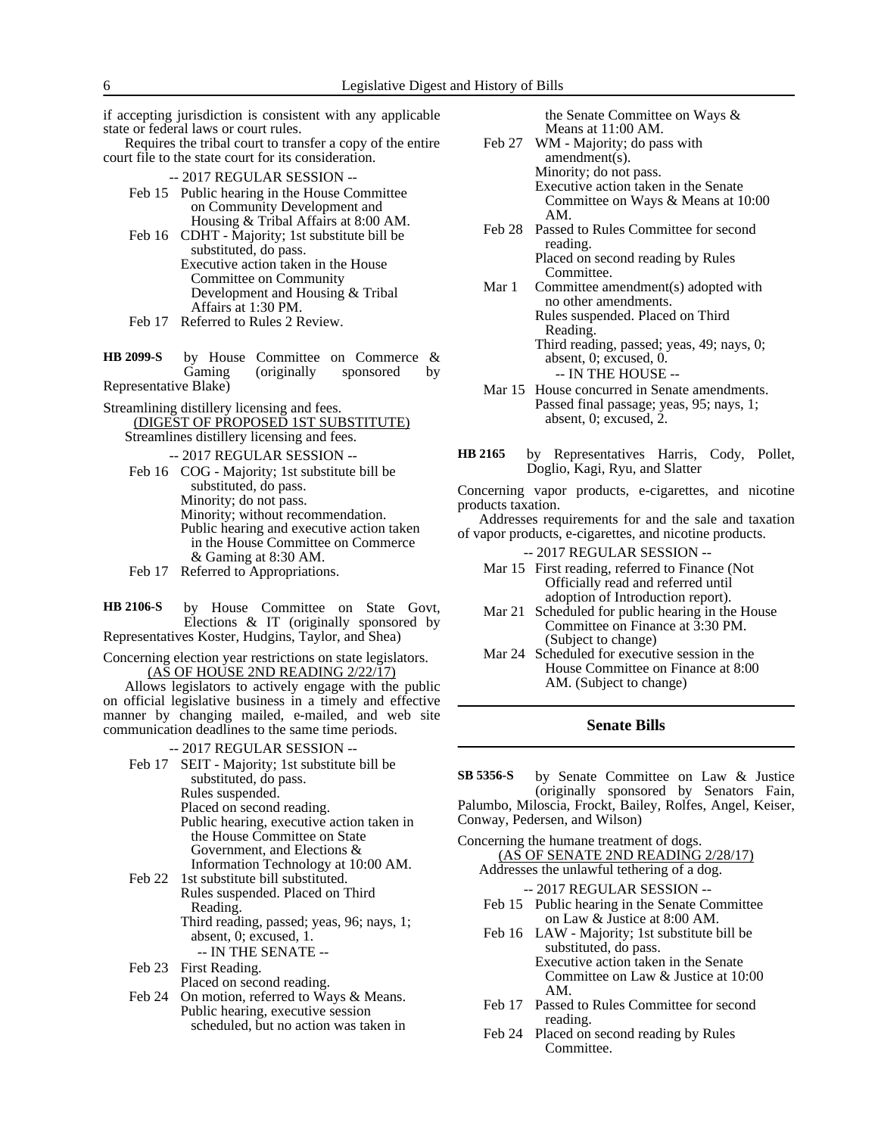if accepting jurisdiction is consistent with any applicable state or federal laws or court rules.

Requires the tribal court to transfer a copy of the entire court file to the state court for its consideration.

- -- 2017 REGULAR SESSION --
- Feb 15 Public hearing in the House Committee on Community Development and Housing & Tribal Affairs at 8:00 AM.
- Feb 16 CDHT Majority; 1st substitute bill be substituted, do pass. Executive action taken in the House Committee on Community Development and Housing & Tribal Affairs at 1:30 PM.
- Feb 17 Referred to Rules 2 Review.

by House Committee on Commerce &<br>Gaming (originally sponsored by (originally Representative Blake) **HB 2099-S**

Streamlining distillery licensing and fees. (DIGEST OF PROPOSED 1ST SUBSTITUTE) Streamlines distillery licensing and fees.

-- 2017 REGULAR SESSION --

- Feb 16 COG Majority; 1st substitute bill be substituted, do pass. Minority; do not pass. Minority; without recommendation. Public hearing and executive action taken in the House Committee on Commerce & Gaming at 8:30 AM.
- Feb 17 Referred to Appropriations.

by House Committee on State Govt, Elections & IT (originally sponsored by Representatives Koster, Hudgins, Taylor, and Shea) **HB 2106-S**

Concerning election year restrictions on state legislators. (AS OF HOUSE 2ND READING 2/22/17)

Allows legislators to actively engage with the public on official legislative business in a timely and effective manner by changing mailed, e-mailed, and web site communication deadlines to the same time periods.

-- 2017 REGULAR SESSION --

Feb 17 SEIT - Majority; 1st substitute bill be substituted, do pass. Rules suspended. Placed on second reading. Public hearing, executive action taken in the House Committee on State Government, and Elections & Information Technology at 10:00 AM.

Feb 22 1st substitute bill substituted. Rules suspended. Placed on Third Reading. Third reading, passed; yeas, 96; nays, 1; absent, 0; excused, 1. -- IN THE SENATE --

- Feb 23 First Reading. Placed on second reading.
- Feb 24 On motion, referred to Ways & Means. Public hearing, executive session scheduled, but no action was taken in

the Senate Committee on Ways & Means at 11:00 AM.

- Feb 27 WM Majority; do pass with amendment(s). Minority; do not pass. Executive action taken in the Senate Committee on Ways & Means at 10:00 AM.
- Feb 28 Passed to Rules Committee for second reading. Placed on second reading by Rules Committee.
- Mar 1 Committee amendment(s) adopted with no other amendments. Rules suspended. Placed on Third Reading. Third reading, passed; yeas, 49; nays, 0;
	- absent, 0; excused, 0. -- IN THE HOUSE --
- Mar 15 House concurred in Senate amendments. Passed final passage; yeas, 95; nays, 1; absent, 0; excused, 2.
- by Representatives Harris, Cody, Pollet, Doglio, Kagi, Ryu, and Slatter **HB 2165**

Concerning vapor products, e-cigarettes, and nicotine products taxation.

Addresses requirements for and the sale and taxation of vapor products, e-cigarettes, and nicotine products.

-- 2017 REGULAR SESSION --

- Mar 15 First reading, referred to Finance (Not Officially read and referred until adoption of Introduction report).
- Mar 21 Scheduled for public hearing in the House Committee on Finance at 3:30 PM. (Subject to change)
- Mar 24 Scheduled for executive session in the House Committee on Finance at 8:00 AM. (Subject to change)

## **Senate Bills**

by Senate Committee on Law & Justice (originally sponsored by Senators Fain, Palumbo, Miloscia, Frockt, Bailey, Rolfes, Angel, Keiser, Conway, Pedersen, and Wilson) **SB 5356-S**

Concerning the humane treatment of dogs. (AS OF SENATE 2ND READING 2/28/17) Addresses the unlawful tethering of a dog.

- -- 2017 REGULAR SESSION --
- Feb 15 Public hearing in the Senate Committee on Law & Justice at 8:00 AM.
- Feb 16 LAW Majority; 1st substitute bill be substituted, do pass. Executive action taken in the Senate Committee on Law & Justice at 10:00 AM.
- Feb 17 Passed to Rules Committee for second reading.
- Feb 24 Placed on second reading by Rules Committee.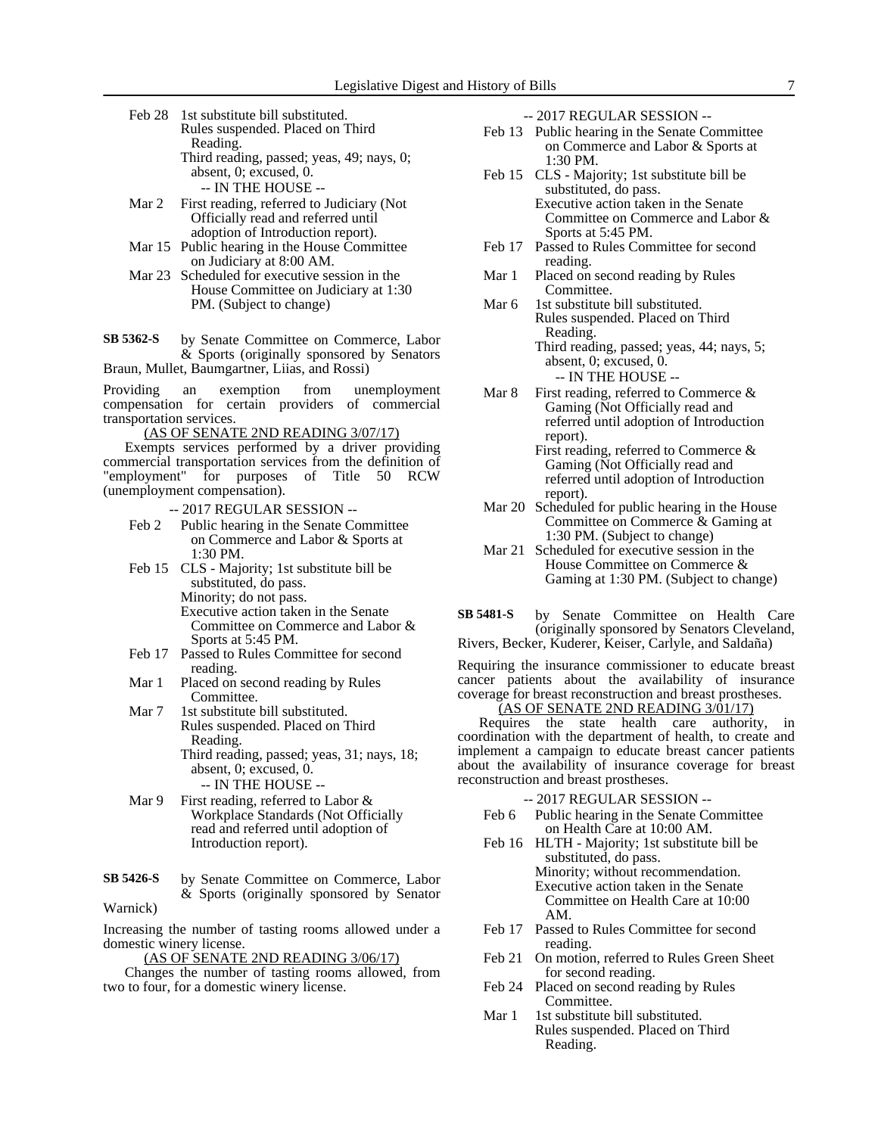Feb 28 1st substitute bill substituted. Rules suspended. Placed on Third Reading. Third reading, passed; yeas, 49; nays, 0; absent, 0; excused, 0.

-- IN THE HOUSE --

- Mar 2 First reading, referred to Judiciary (Not Officially read and referred until adoption of Introduction report).
- Mar 15 Public hearing in the House Committee on Judiciary at 8:00 AM.
- Mar 23 Scheduled for executive session in the House Committee on Judiciary at 1:30 PM. (Subject to change)
- by Senate Committee on Commerce, Labor & Sports (originally sponsored by Senators Braun, Mullet, Baumgartner, Liias, and Rossi) **SB 5362-S**

Providing an exemption from unemployment compensation for certain providers of commercial transportation services.

(AS OF SENATE 2ND READING 3/07/17)

Exempts services performed by a driver providing commercial transportation services from the definition of "employment" for purposes of Title 50 RCW (unemployment compensation).

- -- 2017 REGULAR SESSION --
- Feb 2 Public hearing in the Senate Committee on Commerce and Labor & Sports at 1:30 PM.
- Feb 15 CLS Majority; 1st substitute bill be substituted, do pass. Minority; do not pass. Executive action taken in the Senate Committee on Commerce and Labor & Sports at 5:45 PM.
- Feb 17 Passed to Rules Committee for second reading.
- Mar 1 Placed on second reading by Rules Committee.
- Mar 7 1st substitute bill substituted. Rules suspended. Placed on Third Reading. Third reading, passed; yeas, 31; nays, 18; absent, 0; excused, 0. -- IN THE HOUSE --
- Mar 9 First reading, referred to Labor & Workplace Standards (Not Officially read and referred until adoption of Introduction report).
- by Senate Committee on Commerce, Labor & Sports (originally sponsored by Senator Warnick) **SB 5426-S**

Increasing the number of tasting rooms allowed under a domestic winery license.

(AS OF SENATE 2ND READING 3/06/17)

Changes the number of tasting rooms allowed, from two to four, for a domestic winery license.

-- 2017 REGULAR SESSION --

- Feb 13 Public hearing in the Senate Committee on Commerce and Labor & Sports at 1:30 PM.
- Feb 15 CLS Majority; 1st substitute bill be substituted, do pass. Executive action taken in the Senate Committee on Commerce and Labor & Sports at 5:45 PM.
- Feb 17 Passed to Rules Committee for second reading.
- Mar 1 Placed on second reading by Rules Committee.
- Mar 6 1st substitute bill substituted. Rules suspended. Placed on Third Reading. Third reading, passed; yeas, 44; nays, 5;
	- absent, 0; excused, 0. -- IN THE HOUSE --
- Mar 8 First reading, referred to Commerce  $\&$ Gaming (Not Officially read and referred until adoption of Introduction report).
	- First reading, referred to Commerce & Gaming (Not Officially read and referred until adoption of Introduction report).
- Mar 20 Scheduled for public hearing in the House Committee on Commerce & Gaming at 1:30 PM. (Subject to change)
- Mar 21 Scheduled for executive session in the House Committee on Commerce & Gaming at 1:30 PM. (Subject to change)
- by Senate Committee on Health Care (originally sponsored by Senators Cleveland, Rivers, Becker, Kuderer, Keiser, Carlyle, and Saldaña) **SB 5481-S**

Requiring the insurance commissioner to educate breast cancer patients about the availability of insurance coverage for breast reconstruction and breast prostheses.

## (AS OF SENATE 2ND READING 3/01/17)

Requires the state health care authority, in coordination with the department of health, to create and implement a campaign to educate breast cancer patients about the availability of insurance coverage for breast reconstruction and breast prostheses.

- -- 2017 REGULAR SESSION --
- Feb 6 Public hearing in the Senate Committee on Health Care at 10:00 AM.
- Feb 16 HLTH Majority; 1st substitute bill be substituted, do pass. Minority; without recommendation. Executive action taken in the Senate Committee on Health Care at 10:00 AM.
- Feb 17 Passed to Rules Committee for second reading.
- Feb 21 On motion, referred to Rules Green Sheet for second reading.
- Feb 24 Placed on second reading by Rules Committee.
- Mar 1 1st substitute bill substituted. Rules suspended. Placed on Third Reading.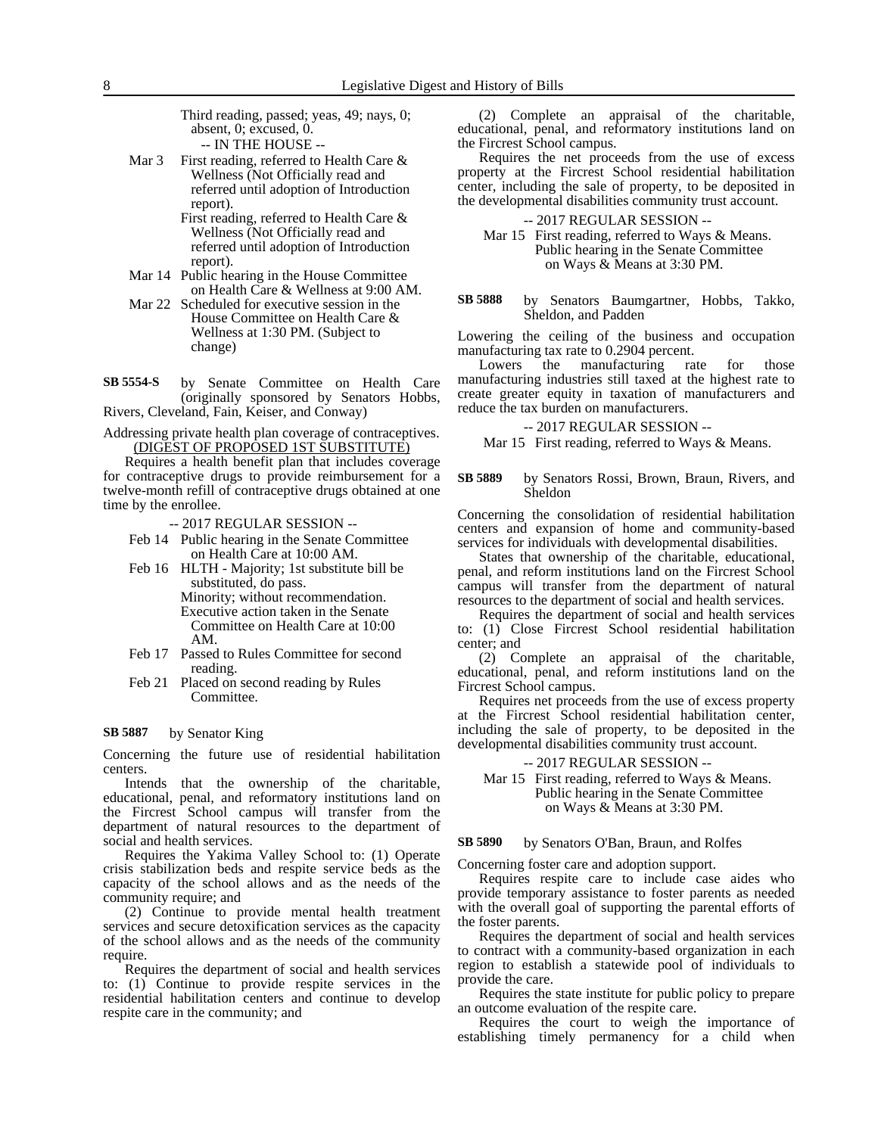Third reading, passed; yeas, 49; nays, 0; absent, 0; excused, 0. -- IN THE HOUSE --

Mar 3 First reading, referred to Health Care & Wellness (Not Officially read and referred until adoption of Introduction report).

First reading, referred to Health Care & Wellness (Not Officially read and referred until adoption of Introduction report).

- Mar 14 Public hearing in the House Committee on Health Care & Wellness at 9:00 AM.
- Mar 22 Scheduled for executive session in the House Committee on Health Care & Wellness at 1:30 PM. (Subject to change)

by Senate Committee on Health Care (originally sponsored by Senators Hobbs, Rivers, Cleveland, Fain, Keiser, and Conway) **SB 5554-S**

Addressing private health plan coverage of contraceptives. (DIGEST OF PROPOSED 1ST SUBSTITUTE)

Requires a health benefit plan that includes coverage for contraceptive drugs to provide reimbursement for a twelve-month refill of contraceptive drugs obtained at one time by the enrollee.

-- 2017 REGULAR SESSION --

- Feb 14 Public hearing in the Senate Committee on Health Care at 10:00 AM.
- Feb 16 HLTH Majority; 1st substitute bill be substituted, do pass.

Minority; without recommendation. Executive action taken in the Senate Committee on Health Care at 10:00 AM.

- Feb 17 Passed to Rules Committee for second reading.
- Feb 21 Placed on second reading by Rules Committee.

#### by Senator King **SB 5887**

Concerning the future use of residential habilitation centers.

Intends that the ownership of the charitable, educational, penal, and reformatory institutions land on the Fircrest School campus will transfer from the department of natural resources to the department of social and health services.

Requires the Yakima Valley School to: (1) Operate crisis stabilization beds and respite service beds as the capacity of the school allows and as the needs of the community require; and

(2) Continue to provide mental health treatment services and secure detoxification services as the capacity of the school allows and as the needs of the community require.

Requires the department of social and health services to: (1) Continue to provide respite services in the residential habilitation centers and continue to develop respite care in the community; and

(2) Complete an appraisal of the charitable, educational, penal, and reformatory institutions land on the Fircrest School campus.

Requires the net proceeds from the use of excess property at the Fircrest School residential habilitation center, including the sale of property, to be deposited in the developmental disabilities community trust account.

## -- 2017 REGULAR SESSION --

Mar 15 First reading, referred to Ways & Means. Public hearing in the Senate Committee on Ways & Means at 3:30 PM.

by Senators Baumgartner, Hobbs, Takko, Sheldon, and Padden **SB 5888**

Lowering the ceiling of the business and occupation manufacturing tax rate to 0.2904 percent.

Lowers the manufacturing rate for those manufacturing industries still taxed at the highest rate to create greater equity in taxation of manufacturers and reduce the tax burden on manufacturers.

### -- 2017 REGULAR SESSION --

Mar 15 First reading, referred to Ways & Means.

by Senators Rossi, Brown, Braun, Rivers, and Sheldon **SB 5889**

Concerning the consolidation of residential habilitation centers and expansion of home and community-based services for individuals with developmental disabilities.

States that ownership of the charitable, educational, penal, and reform institutions land on the Fircrest School campus will transfer from the department of natural resources to the department of social and health services.

Requires the department of social and health services to: (1) Close Fircrest School residential habilitation center; and

(2) Complete an appraisal of the charitable, educational, penal, and reform institutions land on the Fircrest School campus.

Requires net proceeds from the use of excess property at the Fircrest School residential habilitation center, including the sale of property, to be deposited in the developmental disabilities community trust account.

### -- 2017 REGULAR SESSION --

Mar 15 First reading, referred to Ways & Means. Public hearing in the Senate Committee on Ways & Means at 3:30 PM.

#### by Senators O'Ban, Braun, and Rolfes **SB 5890**

Concerning foster care and adoption support.

Requires respite care to include case aides who provide temporary assistance to foster parents as needed with the overall goal of supporting the parental efforts of the foster parents.

Requires the department of social and health services to contract with a community-based organization in each region to establish a statewide pool of individuals to provide the care.

Requires the state institute for public policy to prepare an outcome evaluation of the respite care.

Requires the court to weigh the importance of establishing timely permanency for a child when